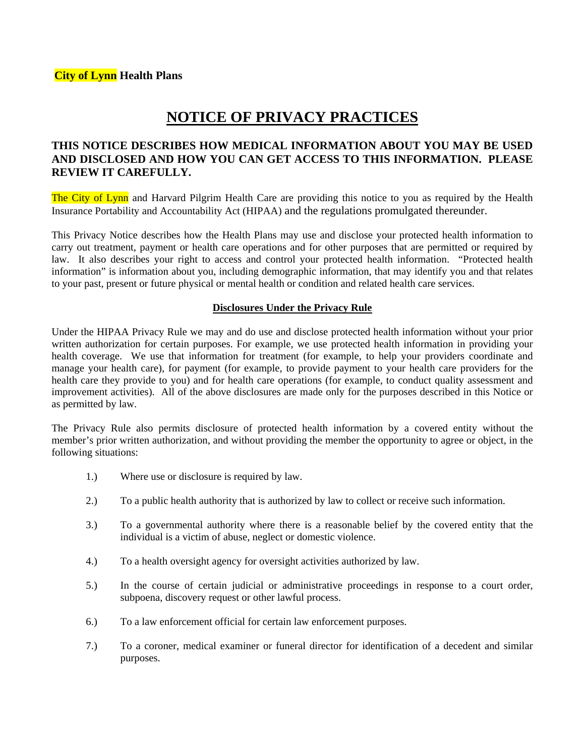# **NOTICE OF PRIVACY PRACTICES**

## **THIS NOTICE DESCRIBES HOW MEDICAL INFORMATION ABOUT YOU MAY BE USED AND DISCLOSED AND HOW YOU CAN GET ACCESS TO THIS INFORMATION. PLEASE REVIEW IT CAREFULLY.**

The City of Lynn and Harvard Pilgrim Health Care are providing this notice to you as required by the Health Insurance Portability and Accountability Act (HIPAA) and the regulations promulgated thereunder.

This Privacy Notice describes how the Health Plans may use and disclose your protected health information to carry out treatment, payment or health care operations and for other purposes that are permitted or required by law. It also describes your right to access and control your protected health information. "Protected health information" is information about you, including demographic information, that may identify you and that relates to your past, present or future physical or mental health or condition and related health care services.

### **Disclosures Under the Privacy Rule**

Under the HIPAA Privacy Rule we may and do use and disclose protected health information without your prior written authorization for certain purposes. For example, we use protected health information in providing your health coverage. We use that information for treatment (for example, to help your providers coordinate and manage your health care), for payment (for example, to provide payment to your health care providers for the health care they provide to you) and for health care operations (for example, to conduct quality assessment and improvement activities). All of the above disclosures are made only for the purposes described in this Notice or as permitted by law.

The Privacy Rule also permits disclosure of protected health information by a covered entity without the member's prior written authorization, and without providing the member the opportunity to agree or object, in the following situations:

- 1.) Where use or disclosure is required by law.
- 2.) To a public health authority that is authorized by law to collect or receive such information.
- 3.) To a governmental authority where there is a reasonable belief by the covered entity that the individual is a victim of abuse, neglect or domestic violence.
- 4.) To a health oversight agency for oversight activities authorized by law.
- 5.) In the course of certain judicial or administrative proceedings in response to a court order, subpoena, discovery request or other lawful process.
- 6.) To a law enforcement official for certain law enforcement purposes.
- 7.) To a coroner, medical examiner or funeral director for identification of a decedent and similar purposes.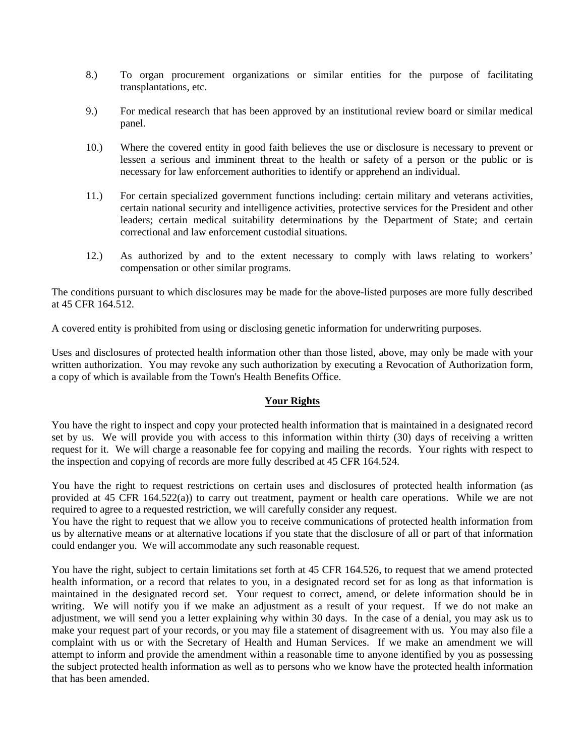- 8.) To organ procurement organizations or similar entities for the purpose of facilitating transplantations, etc.
- 9.) For medical research that has been approved by an institutional review board or similar medical panel.
- 10.) Where the covered entity in good faith believes the use or disclosure is necessary to prevent or lessen a serious and imminent threat to the health or safety of a person or the public or is necessary for law enforcement authorities to identify or apprehend an individual.
- 11.) For certain specialized government functions including: certain military and veterans activities, certain national security and intelligence activities, protective services for the President and other leaders; certain medical suitability determinations by the Department of State; and certain correctional and law enforcement custodial situations.
- 12.) As authorized by and to the extent necessary to comply with laws relating to workers' compensation or other similar programs.

The conditions pursuant to which disclosures may be made for the above-listed purposes are more fully described at 45 CFR 164.512.

A covered entity is prohibited from using or disclosing genetic information for underwriting purposes.

Uses and disclosures of protected health information other than those listed, above, may only be made with your written authorization. You may revoke any such authorization by executing a Revocation of Authorization form, a copy of which is available from the Town's Health Benefits Office.

### **Your Rights**

You have the right to inspect and copy your protected health information that is maintained in a designated record set by us. We will provide you with access to this information within thirty (30) days of receiving a written request for it. We will charge a reasonable fee for copying and mailing the records. Your rights with respect to the inspection and copying of records are more fully described at 45 CFR 164.524.

You have the right to request restrictions on certain uses and disclosures of protected health information (as provided at 45 CFR 164.522(a)) to carry out treatment, payment or health care operations. While we are not required to agree to a requested restriction, we will carefully consider any request.

You have the right to request that we allow you to receive communications of protected health information from us by alternative means or at alternative locations if you state that the disclosure of all or part of that information could endanger you. We will accommodate any such reasonable request.

You have the right, subject to certain limitations set forth at 45 CFR 164.526, to request that we amend protected health information, or a record that relates to you, in a designated record set for as long as that information is maintained in the designated record set. Your request to correct, amend, or delete information should be in writing. We will notify you if we make an adjustment as a result of your request. If we do not make an adjustment, we will send you a letter explaining why within 30 days. In the case of a denial, you may ask us to make your request part of your records, or you may file a statement of disagreement with us. You may also file a complaint with us or with the Secretary of Health and Human Services. If we make an amendment we will attempt to inform and provide the amendment within a reasonable time to anyone identified by you as possessing the subject protected health information as well as to persons who we know have the protected health information that has been amended.